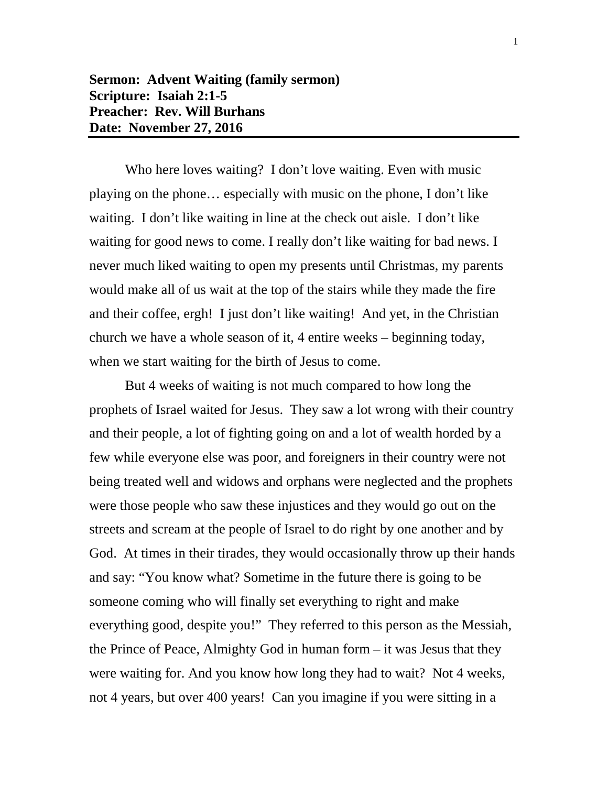Who here loves waiting? I don't love waiting. Even with music playing on the phone… especially with music on the phone, I don't like waiting. I don't like waiting in line at the check out aisle. I don't like waiting for good news to come. I really don't like waiting for bad news. I never much liked waiting to open my presents until Christmas, my parents would make all of us wait at the top of the stairs while they made the fire and their coffee, ergh! I just don't like waiting! And yet, in the Christian church we have a whole season of it, 4 entire weeks – beginning today, when we start waiting for the birth of Jesus to come.

But 4 weeks of waiting is not much compared to how long the prophets of Israel waited for Jesus. They saw a lot wrong with their country and their people, a lot of fighting going on and a lot of wealth horded by a few while everyone else was poor, and foreigners in their country were not being treated well and widows and orphans were neglected and the prophets were those people who saw these injustices and they would go out on the streets and scream at the people of Israel to do right by one another and by God. At times in their tirades, they would occasionally throw up their hands and say: "You know what? Sometime in the future there is going to be someone coming who will finally set everything to right and make everything good, despite you!" They referred to this person as the Messiah, the Prince of Peace, Almighty God in human form – it was Jesus that they were waiting for. And you know how long they had to wait? Not 4 weeks, not 4 years, but over 400 years! Can you imagine if you were sitting in a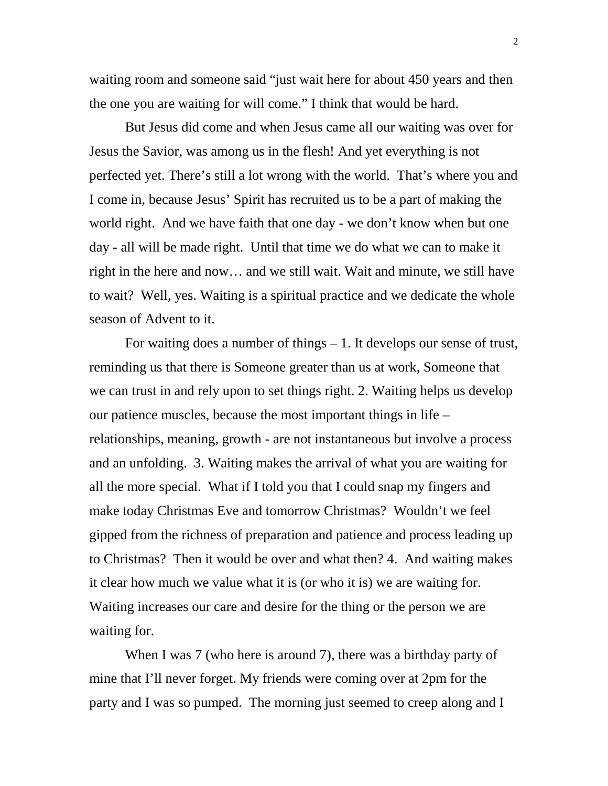waiting room and someone said "just wait here for about 450 years and then the one you are waiting for will come." I think that would be hard.

But Jesus did come and when Jesus came all our waiting was over for Jesus the Savior, was among us in the flesh! And yet everything is not perfected yet. There's still a lot wrong with the world. That's where you and I come in, because Jesus' Spirit has recruited us to be a part of making the world right. And we have faith that one day - we don't know when but one day - all will be made right. Until that time we do what we can to make it right in the here and now… and we still wait. Wait and minute, we still have to wait? Well, yes. Waiting is a spiritual practice and we dedicate the whole season of Advent to it.

For waiting does a number of things – 1. It develops our sense of trust, reminding us that there is Someone greater than us at work, Someone that we can trust in and rely upon to set things right. 2. Waiting helps us develop our patience muscles, because the most important things in life – relationships, meaning, growth - are not instantaneous but involve a process and an unfolding. 3. Waiting makes the arrival of what you are waiting for all the more special. What if I told you that I could snap my fingers and make today Christmas Eve and tomorrow Christmas? Wouldn't we feel gipped from the richness of preparation and patience and process leading up to Christmas? Then it would be over and what then? 4. And waiting makes it clear how much we value what it is (or who it is) we are waiting for. Waiting increases our care and desire for the thing or the person we are waiting for.

When I was 7 (who here is around 7), there was a birthday party of mine that I'll never forget. My friends were coming over at 2pm for the party and I was so pumped. The morning just seemed to creep along and I